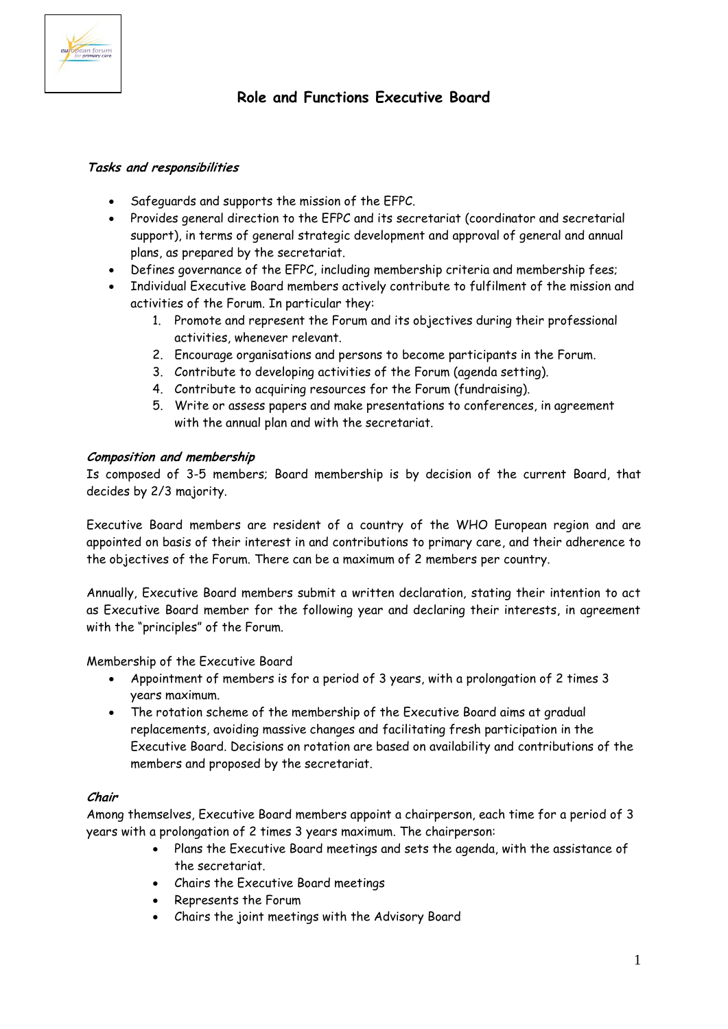

# **Role and Functions Executive Board**

# **Tasks and responsibilities**

- Safeguards and supports the mission of the EFPC.
- Provides general direction to the EFPC and its secretariat (coordinator and secretarial support), in terms of general strategic development and approval of general and annual plans, as prepared by the secretariat.
- Defines governance of the EFPC, including membership criteria and membership fees;
- Individual Executive Board members actively contribute to fulfilment of the mission and activities of the Forum. In particular they:
	- 1. Promote and represent the Forum and its objectives during their professional activities, whenever relevant.
	- 2. Encourage organisations and persons to become participants in the Forum.
	- 3. Contribute to developing activities of the Forum (agenda setting).
	- 4. Contribute to acquiring resources for the Forum (fundraising).
	- 5. Write or assess papers and make presentations to conferences, in agreement with the annual plan and with the secretariat.

### **Composition and membership**

Is composed of 3-5 members; Board membership is by decision of the current Board, that decides by 2/3 majority.

Executive Board members are resident of a country of the WHO European region and are appointed on basis of their interest in and contributions to primary care, and their adherence to the objectives of the Forum. There can be a maximum of 2 members per country.

Annually, Executive Board members submit a written declaration, stating their intention to act as Executive Board member for the following year and declaring their interests, in agreement with the "principles" of the Forum.

Membership of the Executive Board

- Appointment of members is for a period of 3 years, with a prolongation of 2 times 3 years maximum.
- The rotation scheme of the membership of the Executive Board aims at gradual replacements, avoiding massive changes and facilitating fresh participation in the Executive Board. Decisions on rotation are based on availability and contributions of the members and proposed by the secretariat.

### **Chair**

Among themselves, Executive Board members appoint a chairperson, each time for a period of 3 years with a prolongation of 2 times 3 years maximum. The chairperson:

- Plans the Executive Board meetings and sets the agenda, with the assistance of the secretariat.
- Chairs the Executive Board meetings
- Represents the Forum
- Chairs the joint meetings with the Advisory Board